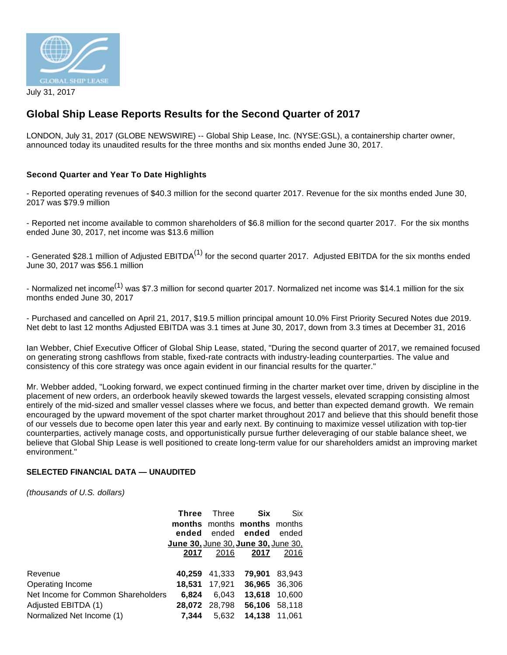

# **Global Ship Lease Reports Results for the Second Quarter of 2017**

LONDON, July 31, 2017 (GLOBE NEWSWIRE) -- Global Ship Lease, Inc. (NYSE:GSL), a containership charter owner, announced today its unaudited results for the three months and six months ended June 30, 2017.

## **Second Quarter and Year To Date Highlights**

- Reported operating revenues of \$40.3 million for the second quarter 2017. Revenue for the six months ended June 30, 2017 was \$79.9 million

- Reported net income available to common shareholders of \$6.8 million for the second quarter 2017. For the six months ended June 30, 2017, net income was \$13.6 million

- Generated \$28.1 million of Adjusted EBITDA<sup>(1)</sup> for the second quarter 2017. Adjusted EBITDA for the six months ended June 30, 2017 was \$56.1 million

- Normalized net income<sup>(1)</sup> was \$7.3 million for second quarter 2017. Normalized net income was \$14.1 million for the six months ended June 30, 2017

- Purchased and cancelled on April 21, 2017, \$19.5 million principal amount 10.0% First Priority Secured Notes due 2019. Net debt to last 12 months Adjusted EBITDA was 3.1 times at June 30, 2017, down from 3.3 times at December 31, 2016

Ian Webber, Chief Executive Officer of Global Ship Lease, stated, "During the second quarter of 2017, we remained focused on generating strong cashflows from stable, fixed-rate contracts with industry-leading counterparties. The value and consistency of this core strategy was once again evident in our financial results for the quarter."

Mr. Webber added, "Looking forward, we expect continued firming in the charter market over time, driven by discipline in the placement of new orders, an orderbook heavily skewed towards the largest vessels, elevated scrapping consisting almost entirely of the mid-sized and smaller vessel classes where we focus, and better than expected demand growth. We remain encouraged by the upward movement of the spot charter market throughout 2017 and believe that this should benefit those of our vessels due to become open later this year and early next. By continuing to maximize vessel utilization with top-tier counterparties, actively manage costs, and opportunistically pursue further deleveraging of our stable balance sheet, we believe that Global Ship Lease is well positioned to create long-term value for our shareholders amidst an improving market environment."

## **SELECTED FINANCIAL DATA — UNAUDITED**

(thousands of U.S. dollars)

|                                    | <b>Three</b>                               | Three         | Six                         | Six           |
|------------------------------------|--------------------------------------------|---------------|-----------------------------|---------------|
|                                    |                                            |               | months months months months |               |
|                                    | ended                                      | ended         | ended                       | ended         |
|                                    | <u>June 30, June 30, June 30, June 30,</u> |               |                             |               |
|                                    | 2017                                       | 2016          | 2017                        | 2016          |
|                                    |                                            |               |                             |               |
| Revenue                            | 40.259                                     | 41.333        | 79.901                      | 83.943        |
| Operating Income                   | 18.531                                     | 17,921        | 36,965                      | 36,306        |
| Net Income for Common Shareholders | 6.824                                      | 6.043         | 13,618                      | 10,600        |
| Adjusted EBITDA (1)                |                                            | 28,072 28,798 |                             | 56.106 58.118 |
| Normalized Net Income (1)          | 7.344                                      | 5.632         | 14.138                      | 11.061        |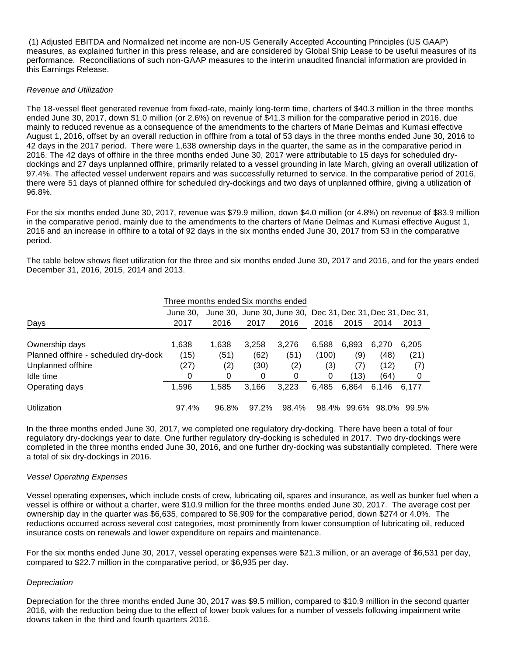(1) Adjusted EBITDA and Normalized net income are non-US Generally Accepted Accounting Principles (US GAAP) measures, as explained further in this press release, and are considered by Global Ship Lease to be useful measures of its performance. Reconciliations of such non-GAAP measures to the interim unaudited financial information are provided in this Earnings Release.

#### Revenue and Utilization

The 18-vessel fleet generated revenue from fixed-rate, mainly long-term time, charters of \$40.3 million in the three months ended June 30, 2017, down \$1.0 million (or 2.6%) on revenue of \$41.3 million for the comparative period in 2016, due mainly to reduced revenue as a consequence of the amendments to the charters of Marie Delmas and Kumasi effective August 1, 2016, offset by an overall reduction in offhire from a total of 53 days in the three months ended June 30, 2016 to 42 days in the 2017 period. There were 1,638 ownership days in the quarter, the same as in the comparative period in 2016. The 42 days of offhire in the three months ended June 30, 2017 were attributable to 15 days for scheduled drydockings and 27 days unplanned offhire, primarily related to a vessel grounding in late March, giving an overall utilization of 97.4%. The affected vessel underwent repairs and was successfully returned to service. In the comparative period of 2016, there were 51 days of planned offhire for scheduled dry-dockings and two days of unplanned offhire, giving a utilization of 96.8%.

For the six months ended June 30, 2017, revenue was \$79.9 million, down \$4.0 million (or 4.8%) on revenue of \$83.9 million in the comparative period, mainly due to the amendments to the charters of Marie Delmas and Kumasi effective August 1, 2016 and an increase in offhire to a total of 92 days in the six months ended June 30, 2017 from 53 in the comparative period.

The table below shows fleet utilization for the three and six months ended June 30, 2017 and 2016, and for the years ended December 31, 2016, 2015, 2014 and 2013.

| Three months ended Six months ended  |          |                                                            |       |       |       |       |       |       |  |  |
|--------------------------------------|----------|------------------------------------------------------------|-------|-------|-------|-------|-------|-------|--|--|
|                                      | June 30. | June 30, June 30, June 30, Dec 31, Dec 31, Dec 31, Dec 31, |       |       |       |       |       |       |  |  |
| Days                                 | 2017     | 2016                                                       | 2017  | 2016  | 2016  | 2015  | 2014  | 2013  |  |  |
|                                      |          |                                                            |       |       |       |       |       |       |  |  |
| Ownership days                       | 1,638    | 1,638                                                      | 3.258 | 3.276 | 6.588 | 6,893 | 6,270 | 6,205 |  |  |
| Planned offhire - scheduled dry-dock | (15)     | (51)                                                       | (62)  | (51)  | (100) | (9)   | (48)  | (21)  |  |  |
| Unplanned offhire                    | (27)     | (2)                                                        | (30)  | (2)   | (3)   | (7)   | (12)  | (7)   |  |  |
| Idle time                            | 0        | 0                                                          | 0     | 0     | 0     | (13)  | (64)  | 0     |  |  |
| Operating days                       | 1.596    | 1.585                                                      | 3.166 | 3.223 | 6.485 | 6.864 | 6.146 | 6.177 |  |  |
| Utilization                          | 97.4%    | 96.8%                                                      | 97.2% | 98.4% | 98.4% | 99.6% | 98.0% | 99.5% |  |  |

In the three months ended June 30, 2017, we completed one regulatory dry-docking. There have been a total of four regulatory dry-dockings year to date. One further regulatory dry-docking is scheduled in 2017. Two dry-dockings were completed in the three months ended June 30, 2016, and one further dry-docking was substantially completed. There were a total of six dry-dockings in 2016.

## Vessel Operating Expenses

Vessel operating expenses, which include costs of crew, lubricating oil, spares and insurance, as well as bunker fuel when a vessel is offhire or without a charter, were \$10.9 million for the three months ended June 30, 2017. The average cost per ownership day in the quarter was \$6,635, compared to \$6,909 for the comparative period, down \$274 or 4.0%. The reductions occurred across several cost categories, most prominently from lower consumption of lubricating oil, reduced insurance costs on renewals and lower expenditure on repairs and maintenance.

For the six months ended June 30, 2017, vessel operating expenses were \$21.3 million, or an average of \$6,531 per day, compared to \$22.7 million in the comparative period, or \$6,935 per day.

## **Depreciation**

Depreciation for the three months ended June 30, 2017 was \$9.5 million, compared to \$10.9 million in the second quarter 2016, with the reduction being due to the effect of lower book values for a number of vessels following impairment write downs taken in the third and fourth quarters 2016.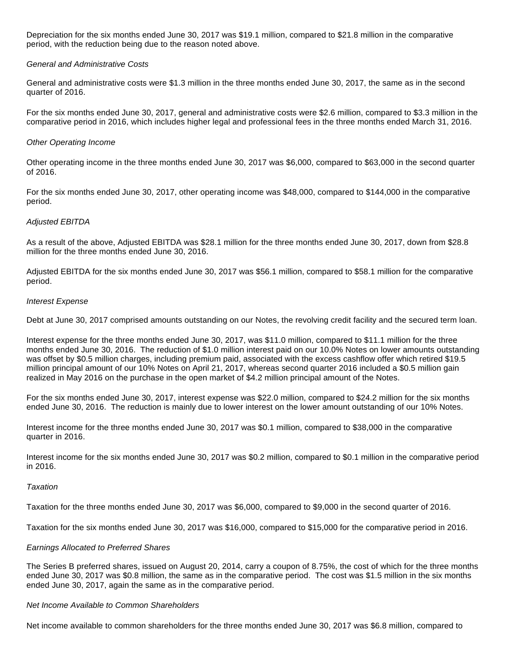Depreciation for the six months ended June 30, 2017 was \$19.1 million, compared to \$21.8 million in the comparative period, with the reduction being due to the reason noted above.

#### General and Administrative Costs

General and administrative costs were \$1.3 million in the three months ended June 30, 2017, the same as in the second quarter of 2016.

For the six months ended June 30, 2017, general and administrative costs were \$2.6 million, compared to \$3.3 million in the comparative period in 2016, which includes higher legal and professional fees in the three months ended March 31, 2016.

#### Other Operating Income

Other operating income in the three months ended June 30, 2017 was \$6,000, compared to \$63,000 in the second quarter of 2016.

For the six months ended June 30, 2017, other operating income was \$48,000, compared to \$144,000 in the comparative period.

#### Adjusted EBITDA

As a result of the above, Adjusted EBITDA was \$28.1 million for the three months ended June 30, 2017, down from \$28.8 million for the three months ended June 30, 2016.

Adjusted EBITDA for the six months ended June 30, 2017 was \$56.1 million, compared to \$58.1 million for the comparative period.

#### Interest Expense

Debt at June 30, 2017 comprised amounts outstanding on our Notes, the revolving credit facility and the secured term loan.

Interest expense for the three months ended June 30, 2017, was \$11.0 million, compared to \$11.1 million for the three months ended June 30, 2016. The reduction of \$1.0 million interest paid on our 10.0% Notes on lower amounts outstanding was offset by \$0.5 million charges, including premium paid, associated with the excess cashflow offer which retired \$19.5 million principal amount of our 10% Notes on April 21, 2017, whereas second quarter 2016 included a \$0.5 million gain realized in May 2016 on the purchase in the open market of \$4.2 million principal amount of the Notes.

For the six months ended June 30, 2017, interest expense was \$22.0 million, compared to \$24.2 million for the six months ended June 30, 2016. The reduction is mainly due to lower interest on the lower amount outstanding of our 10% Notes.

Interest income for the three months ended June 30, 2017 was \$0.1 million, compared to \$38,000 in the comparative quarter in 2016.

Interest income for the six months ended June 30, 2017 was \$0.2 million, compared to \$0.1 million in the comparative period in 2016.

#### **Taxation**

Taxation for the three months ended June 30, 2017 was \$6,000, compared to \$9,000 in the second quarter of 2016.

Taxation for the six months ended June 30, 2017 was \$16,000, compared to \$15,000 for the comparative period in 2016.

#### Earnings Allocated to Preferred Shares

The Series B preferred shares, issued on August 20, 2014, carry a coupon of 8.75%, the cost of which for the three months ended June 30, 2017 was \$0.8 million, the same as in the comparative period. The cost was \$1.5 million in the six months ended June 30, 2017, again the same as in the comparative period.

#### Net Income Available to Common Shareholders

Net income available to common shareholders for the three months ended June 30, 2017 was \$6.8 million, compared to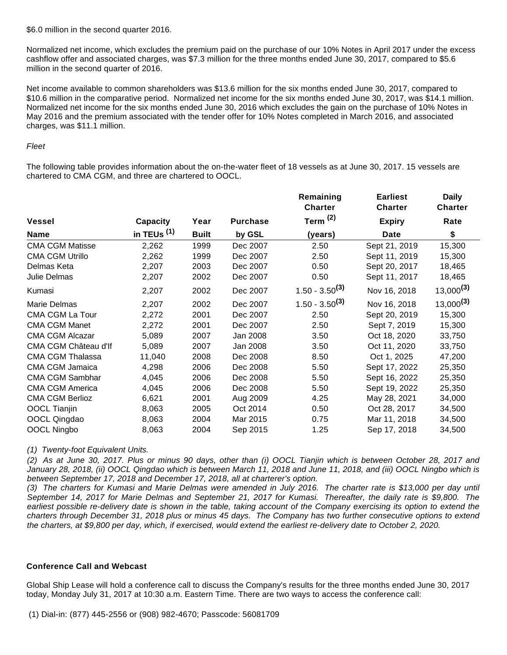\$6.0 million in the second quarter 2016.

Normalized net income, which excludes the premium paid on the purchase of our 10% Notes in April 2017 under the excess cashflow offer and associated charges, was \$7.3 million for the three months ended June 30, 2017, compared to \$5.6 million in the second quarter of 2016.

Net income available to common shareholders was \$13.6 million for the six months ended June 30, 2017, compared to \$10.6 million in the comparative period. Normalized net income for the six months ended June 30, 2017, was \$14.1 million. Normalized net income for the six months ended June 30, 2016 which excludes the gain on the purchase of 10% Notes in May 2016 and the premium associated with the tender offer for 10% Notes completed in March 2016, and associated charges, was \$11.1 million.

## Fleet

The following table provides information about the on-the-water fleet of 18 vessels as at June 30, 2017. 15 vessels are chartered to CMA CGM, and three are chartered to OOCL.

|                         |               |              |                 | Remaining<br><b>Charter</b> | <b>Earliest</b><br><b>Charter</b> | <b>Daily</b><br><b>Charter</b> |
|-------------------------|---------------|--------------|-----------------|-----------------------------|-----------------------------------|--------------------------------|
| <b>Vessel</b>           | Capacity      | Year         | <b>Purchase</b> | Term $(2)$                  | <b>Expiry</b>                     | Rate                           |
| <b>Name</b>             | in TEUs $(1)$ | <b>Built</b> | by GSL          | (years)                     | <b>Date</b>                       | \$                             |
| <b>CMA CGM Matisse</b>  | 2,262         | 1999         | Dec 2007        | 2.50                        | Sept 21, 2019                     | 15,300                         |
| <b>CMA CGM Utrillo</b>  | 2,262         | 1999         | Dec 2007        | 2.50                        | Sept 11, 2019                     | 15,300                         |
| Delmas Keta             | 2,207         | 2003         | Dec 2007        | 0.50                        | Sept 20, 2017                     | 18,465                         |
| Julie Delmas            | 2,207         | 2002         | Dec 2007        | 0.50                        | Sept 11, 2017                     | 18,465                         |
| Kumasi                  | 2,207         | 2002         | Dec 2007        | $1.50 - 3.50^{(3)}$         | Nov 16, 2018                      | $13,000^{(3)}$                 |
| Marie Delmas            | 2,207         | 2002         | Dec 2007        | $1.50 - 3.50^{(3)}$         | Nov 16, 2018                      | $13,000^{(3)}$                 |
| <b>CMA CGM La Tour</b>  | 2,272         | 2001         | Dec 2007        | 2.50                        | Sept 20, 2019                     | 15,300                         |
| <b>CMA CGM Manet</b>    | 2,272         | 2001         | Dec 2007        | 2.50                        | Sept 7, 2019                      | 15,300                         |
| <b>CMA CGM Alcazar</b>  | 5,089         | 2007         | Jan 2008        | 3.50                        | Oct 18, 2020                      | 33,750                         |
| CMA CGM Château d'If    | 5,089         | 2007         | Jan 2008        | 3.50                        | Oct 11, 2020                      | 33,750                         |
| <b>CMA CGM Thalassa</b> | 11,040        | 2008         | Dec 2008        | 8.50                        | Oct 1, 2025                       | 47,200                         |
| CMA CGM Jamaica         | 4,298         | 2006         | Dec 2008        | 5.50                        | Sept 17, 2022                     | 25,350                         |
| <b>CMA CGM Sambhar</b>  | 4,045         | 2006         | Dec 2008        | 5.50                        | Sept 16, 2022                     | 25,350                         |
| <b>CMA CGM America</b>  | 4,045         | 2006         | Dec 2008        | 5.50                        | Sept 19, 2022                     | 25,350                         |
| <b>CMA CGM Berlioz</b>  | 6,621         | 2001         | Aug 2009        | 4.25                        | May 28, 2021                      | 34,000                         |
| <b>OOCL Tianjin</b>     | 8,063         | 2005         | Oct 2014        | 0.50                        | Oct 28, 2017                      | 34,500                         |
| OOCL Qingdao            | 8,063         | 2004         | Mar 2015        | 0.75                        | Mar 11, 2018                      | 34,500                         |
| OOCL Ningbo             | 8,063         | 2004         | Sep 2015        | 1.25                        | Sep 17, 2018                      | 34,500                         |

(1) Twenty-foot Equivalent Units.

(2) As at June 30, 2017. Plus or minus 90 days, other than (i) OOCL Tianjin which is between October 28, 2017 and January 28, 2018, (ii) OOCL Qingdao which is between March 11, 2018 and June 11, 2018, and (iii) OOCL Ningbo which is between September 17, 2018 and December 17, 2018, all at charterer's option.

(3) The charters for Kumasi and Marie Delmas were amended in July 2016. The charter rate is \$13,000 per day until September 14, 2017 for Marie Delmas and September 21, 2017 for Kumasi. Thereafter, the daily rate is \$9,800. The earliest possible re-delivery date is shown in the table, taking account of the Company exercising its option to extend the charters through December 31, 2018 plus or minus 45 days. The Company has two further consecutive options to extend the charters, at \$9,800 per day, which, if exercised, would extend the earliest re-delivery date to October 2, 2020.

## **Conference Call and Webcast**

Global Ship Lease will hold a conference call to discuss the Company's results for the three months ended June 30, 2017 today, Monday July 31, 2017 at 10:30 a.m. Eastern Time. There are two ways to access the conference call: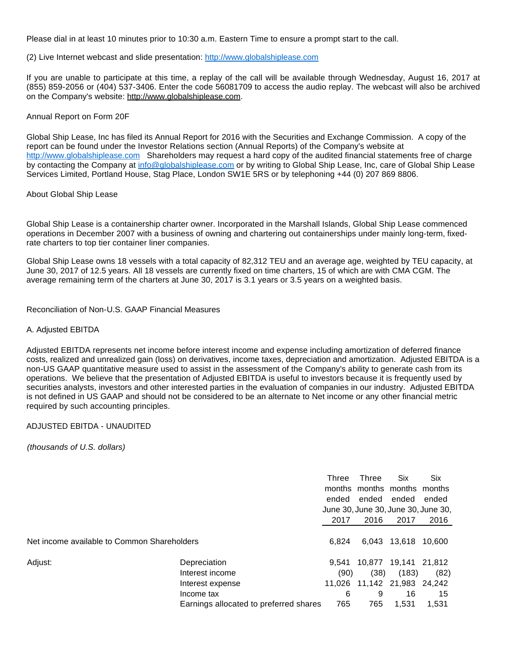Please dial in at least 10 minutes prior to 10:30 a.m. Eastern Time to ensure a prompt start to the call.

(2) Live Internet webcast and slide presentation: [http://www.globalshiplease.com](https://www.globenewswire.com/Tracker?data=8-9bmI8M8NDRWIXQ8EP50BU5PXc1BdqiyDHR7MfTTJCWjbjW2k9p8FSnfkzHPJEddDkPN2dy4kJymdqe_sddozgM50rEGVEtEfMSNeLnbk-Ayhu2wz1Iib2cOSArrLHs)

If you are unable to participate at this time, a replay of the call will be available through Wednesday, August 16, 2017 at (855) 859-2056 or (404) 537-3406. Enter the code 56081709 to access the audio replay. The webcast will also be archived on the Company's website: http://www.globalshiplease.com.

#### Annual Report on Form 20F

Global Ship Lease, Inc has filed its Annual Report for 2016 with the Securities and Exchange Commission. A copy of the report can be found under the Investor Relations section (Annual Reports) of the Company's website at [http://www.globalshiplease.com](https://www.globenewswire.com/Tracker?data=8-9bmI8M8NDRWIXQ8EP50BU5PXc1BdqiyDHR7MfTTJDPxjKMCD-uU2RXep86kPWAOJSxGUVm5QUcPsdcyDKYmrrOnZUFs5ppjk1mf060ps9JTdS30cknK9UOcQV_aERD) Shareholders may request a hard copy of the audited financial statements free of charge by contacting the Company at [info@globalshiplease.com](https://www.globenewswire.com/Tracker?data=IcPbXtxn_OgZ57ewnOV_J2o5bRm5sp6zlWXC4F_jOnETZWbmgpXZg0v-uAhcMIMcSLu6EhzwxJtHiSIomLZekDU55a_Ym3mjiseovYKofJs=) or by writing to Global Ship Lease, Inc, care of Global Ship Lease Services Limited, Portland House, Stag Place, London SW1E 5RS or by telephoning +44 (0) 207 869 8806.

#### About Global Ship Lease

Global Ship Lease is a containership charter owner. Incorporated in the Marshall Islands, Global Ship Lease commenced operations in December 2007 with a business of owning and chartering out containerships under mainly long-term, fixedrate charters to top tier container liner companies.

Global Ship Lease owns 18 vessels with a total capacity of 82,312 TEU and an average age, weighted by TEU capacity, at June 30, 2017 of 12.5 years. All 18 vessels are currently fixed on time charters, 15 of which are with CMA CGM. The average remaining term of the charters at June 30, 2017 is 3.1 years or 3.5 years on a weighted basis.

Reconciliation of Non-U.S. GAAP Financial Measures

## A. Adjusted EBITDA

Adjusted EBITDA represents net income before interest income and expense including amortization of deferred finance costs, realized and unrealized gain (loss) on derivatives, income taxes, depreciation and amortization. Adjusted EBITDA is a non-US GAAP quantitative measure used to assist in the assessment of the Company's ability to generate cash from its operations. We believe that the presentation of Adjusted EBITDA is useful to investors because it is frequently used by securities analysts, investors and other interested parties in the evaluation of companies in our industry. Adjusted EBITDA is not defined in US GAAP and should not be considered to be an alternate to Net income or any other financial metric required by such accounting principles.

## ADJUSTED EBITDA - UNAUDITED

(thousands of U.S. dollars)

|                                             |                                        | Three<br>ended<br>June 30, June 30, June 30, June 30, | Three<br>months months months months<br>ended | Six<br>ended  | <b>Six</b><br>ended |
|---------------------------------------------|----------------------------------------|-------------------------------------------------------|-----------------------------------------------|---------------|---------------------|
|                                             |                                        | 2017                                                  | 2016                                          | 2017          | 2016                |
| Net income available to Common Shareholders |                                        | 6.824                                                 |                                               | 6,043 13,618  | 10,600              |
| Adjust:                                     | Depreciation                           | 9.541                                                 | 10.877                                        | 19,141 21,812 |                     |
|                                             | Interest income                        | (90)                                                  | (38)                                          | (183)         | (82)                |
|                                             | Interest expense                       | 11.026                                                | 11,142 21,983 24,242                          |               |                     |
|                                             | Income tax                             | 6                                                     | 9                                             | 16            | 15                  |
|                                             | Earnings allocated to preferred shares | 765                                                   | 765                                           | 1,531         | 1,531               |
|                                             |                                        |                                                       |                                               |               |                     |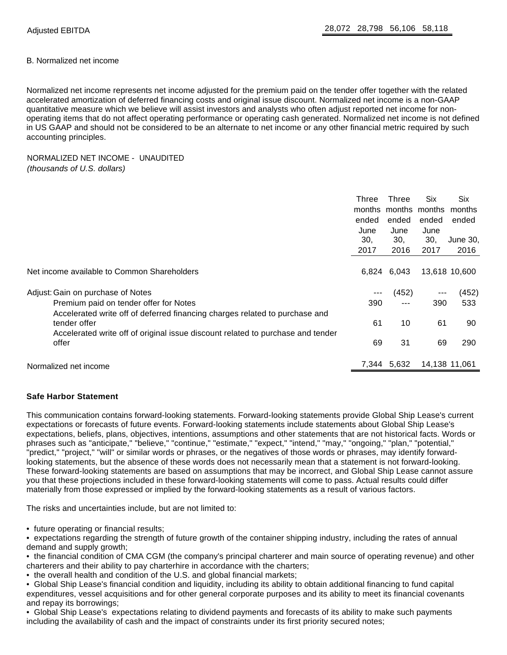#### B. Normalized net income

Normalized net income represents net income adjusted for the premium paid on the tender offer together with the related accelerated amortization of deferred financing costs and original issue discount. Normalized net income is a non-GAAP quantitative measure which we believe will assist investors and analysts who often adjust reported net income for nonoperating items that do not affect operating performance or operating cash generated. Normalized net income is not defined in US GAAP and should not be considered to be an alternate to net income or any other financial metric required by such accounting principles.

## NORMALIZED NET INCOME - UNAUDITED (thousands of U.S. dollars)

|                                                                                 | Three | Three                | Six   | Six           |
|---------------------------------------------------------------------------------|-------|----------------------|-------|---------------|
|                                                                                 |       | months months months |       | months        |
|                                                                                 | ended | ended                | ended | ended         |
|                                                                                 | June  | June                 | June  |               |
|                                                                                 | 30.   | 30,                  | 30,   | June 30,      |
|                                                                                 | 2017  | 2016                 | 2017  | 2016          |
|                                                                                 |       |                      |       |               |
| Net income available to Common Shareholders                                     |       | 6,824 6,043          |       | 13,618 10,600 |
| Adjust: Gain on purchase of Notes                                               | ---   | (452)                | $---$ | (452)         |
| Premium paid on tender offer for Notes                                          | 390   | $---$                | 390   | 533           |
| Accelerated write off of deferred financing charges related to purchase and     |       |                      |       |               |
| tender offer                                                                    | 61    | 10                   | 61    | 90            |
| Accelerated write off of original issue discount related to purchase and tender |       |                      |       |               |
| offer                                                                           | 69    | 31                   | 69    | 290           |
| Normalized net income                                                           |       | 7,344 5,632          |       | 14,138 11,061 |

## **Safe Harbor Statement**

This communication contains forward-looking statements. Forward-looking statements provide Global Ship Lease's current expectations or forecasts of future events. Forward-looking statements include statements about Global Ship Lease's expectations, beliefs, plans, objectives, intentions, assumptions and other statements that are not historical facts. Words or phrases such as "anticipate," "believe," "continue," "estimate," "expect," "intend," "may," "ongoing," "plan," "potential," "predict," "project," "will" or similar words or phrases, or the negatives of those words or phrases, may identify forwardlooking statements, but the absence of these words does not necessarily mean that a statement is not forward-looking. These forward-looking statements are based on assumptions that may be incorrect, and Global Ship Lease cannot assure you that these projections included in these forward-looking statements will come to pass. Actual results could differ materially from those expressed or implied by the forward-looking statements as a result of various factors.

The risks and uncertainties include, but are not limited to:

• future operating or financial results;

• expectations regarding the strength of future growth of the container shipping industry, including the rates of annual demand and supply growth;

• the financial condition of CMA CGM (the company's principal charterer and main source of operating revenue) and other charterers and their ability to pay charterhire in accordance with the charters;

- the overall health and condition of the U.S. and global financial markets;
- Global Ship Lease's financial condition and liquidity, including its ability to obtain additional financing to fund capital expenditures, vessel acquisitions and for other general corporate purposes and its ability to meet its financial covenants and repay its borrowings;

• Global Ship Lease's expectations relating to dividend payments and forecasts of its ability to make such payments including the availability of cash and the impact of constraints under its first priority secured notes;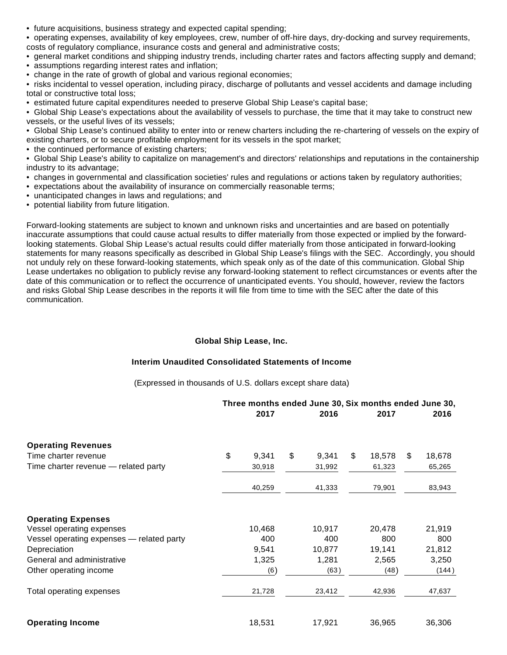• future acquisitions, business strategy and expected capital spending;

• operating expenses, availability of key employees, crew, number of off-hire days, dry-docking and survey requirements, costs of regulatory compliance, insurance costs and general and administrative costs;

• general market conditions and shipping industry trends, including charter rates and factors affecting supply and demand;

- assumptions regarding interest rates and inflation:
- change in the rate of growth of global and various regional economies;

• risks incidental to vessel operation, including piracy, discharge of pollutants and vessel accidents and damage including total or constructive total loss;

• estimated future capital expenditures needed to preserve Global Ship Lease's capital base;

• Global Ship Lease's expectations about the availability of vessels to purchase, the time that it may take to construct new vessels, or the useful lives of its vessels;

• Global Ship Lease's continued ability to enter into or renew charters including the re-chartering of vessels on the expiry of existing charters, or to secure profitable employment for its vessels in the spot market;

• the continued performance of existing charters;

• Global Ship Lease's ability to capitalize on management's and directors' relationships and reputations in the containership industry to its advantage;

- changes in governmental and classification societies' rules and regulations or actions taken by regulatory authorities;
- expectations about the availability of insurance on commercially reasonable terms;
- unanticipated changes in laws and regulations; and
- potential liability from future litigation.

Forward-looking statements are subject to known and unknown risks and uncertainties and are based on potentially inaccurate assumptions that could cause actual results to differ materially from those expected or implied by the forwardlooking statements. Global Ship Lease's actual results could differ materially from those anticipated in forward-looking statements for many reasons specifically as described in Global Ship Lease's filings with the SEC. Accordingly, you should not unduly rely on these forward-looking statements, which speak only as of the date of this communication. Global Ship Lease undertakes no obligation to publicly revise any forward-looking statement to reflect circumstances or events after the date of this communication or to reflect the occurrence of unanticipated events. You should, however, review the factors and risks Global Ship Lease describes in the reports it will file from time to time with the SEC after the date of this communication.

## **Global Ship Lease, Inc.**

## **Interim Unaudited Consolidated Statements of Income**

(Expressed in thousands of U.S. dollars except share data)

|                                           | Three months ended June 30, Six months ended June 30, |        |    |        |    |        |    |        |
|-------------------------------------------|-------------------------------------------------------|--------|----|--------|----|--------|----|--------|
|                                           |                                                       | 2017   |    | 2016   |    | 2017   |    | 2016   |
| <b>Operating Revenues</b>                 |                                                       |        |    |        |    |        |    |        |
| Time charter revenue                      | \$                                                    | 9,341  | \$ | 9,341  | \$ | 18,578 | \$ | 18,678 |
| Time charter revenue - related party      |                                                       | 30,918 |    | 31,992 |    | 61,323 |    | 65,265 |
|                                           |                                                       | 40,259 |    | 41,333 |    | 79,901 |    | 83,943 |
| <b>Operating Expenses</b>                 |                                                       |        |    |        |    |        |    |        |
| Vessel operating expenses                 |                                                       | 10,468 |    | 10,917 |    | 20,478 |    | 21,919 |
| Vessel operating expenses - related party |                                                       | 400    |    | 400    |    | 800    |    | 800    |
| Depreciation                              |                                                       | 9,541  |    | 10,877 |    | 19,141 |    | 21,812 |
| General and administrative                |                                                       | 1,325  |    | 1,281  |    | 2,565  |    | 3,250  |
| Other operating income                    |                                                       | (6)    |    | (63)   |    | (48)   |    | (144)  |
| Total operating expenses                  |                                                       | 21,728 |    | 23,412 |    | 42,936 |    | 47,637 |
| <b>Operating Income</b>                   |                                                       | 18,531 |    | 17,921 |    | 36,965 |    | 36,306 |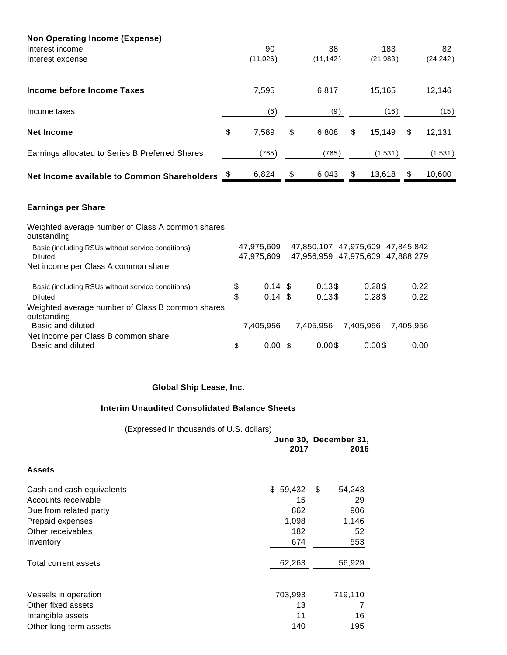| <b>Non Operating Income (Expense)</b>           |    |          |    |           |    |           |              |
|-------------------------------------------------|----|----------|----|-----------|----|-----------|--------------|
| Interest income                                 |    | 90       |    | 38        |    | 183       | 82           |
| Interest expense                                |    | (11,026) |    | (11, 142) |    | (21, 983) | (24, 242)    |
| Income before Income Taxes                      |    | 7,595    |    | 6,817     |    | 15.165    | 12,146       |
| Income taxes                                    |    | (6)      |    | (9)       |    | (16)      | (15)         |
| <b>Net Income</b>                               | \$ | 7,589    | \$ | 6.808     | \$ | 15,149    | \$<br>12,131 |
| Earnings allocated to Series B Preferred Shares |    | (765)    |    | (765)     |    | (1,531)   | (1,531)      |
| Net Income available to Common Shareholders     |    | 6,824    | \$ | 6,043     | \$ | 13,618    | \$<br>10,600 |

# **Earnings per Share**

| Weighted average number of Class A common shares<br>outstanding |                          |           |                                                                      |           |
|-----------------------------------------------------------------|--------------------------|-----------|----------------------------------------------------------------------|-----------|
| Basic (including RSUs without service conditions)<br>Diluted    | 47,975,609<br>47,975,609 |           | 47,850,107 47,975,609 47,845,842<br>47,956,959 47,975,609 47,888,279 |           |
| Net income per Class A common share                             |                          |           |                                                                      |           |
| Basic (including RSUs without service conditions)               | \$<br>$0.14 \text{ } $$  | 0.13\$    | 0.28\$                                                               | 0.22      |
| Diluted                                                         | \$<br>$0.14 \text{ } $$  | 0.13\$    | 0.28\$                                                               | 0.22      |
| Weighted average number of Class B common shares<br>outstanding |                          |           |                                                                      |           |
| Basic and diluted                                               | 7,405,956                | 7.405.956 | 7,405,956                                                            | 7,405,956 |
| Net income per Class B common share<br>Basic and diluted        | \$<br>$0.00 \text{ s}$   | $0.00$ \$ | $0.00$ \$                                                            | 0.00      |

# **Global Ship Lease, Inc.**

## **Interim Unaudited Consolidated Balance Sheets**

(Expressed in thousands of U.S. dollars)

|                           | 2017     | June 30, December 31,<br>2016 |
|---------------------------|----------|-------------------------------|
| <b>Assets</b>             |          |                               |
| Cash and cash equivalents | \$59,432 | 54,243<br>S                   |
| Accounts receivable       | 15       | 29                            |
| Due from related party    | 862      | 906                           |
| Prepaid expenses          | 1,098    | 1,146                         |
| Other receivables         | 182      | 52                            |
| Inventory                 | 674      | 553                           |
| Total current assets      | 62,263   | 56,929                        |
| Vessels in operation      | 703,993  | 719,110                       |
| Other fixed assets        | 13       |                               |
| Intangible assets         | 11       | 16                            |
| Other long term assets    | 140      | 195                           |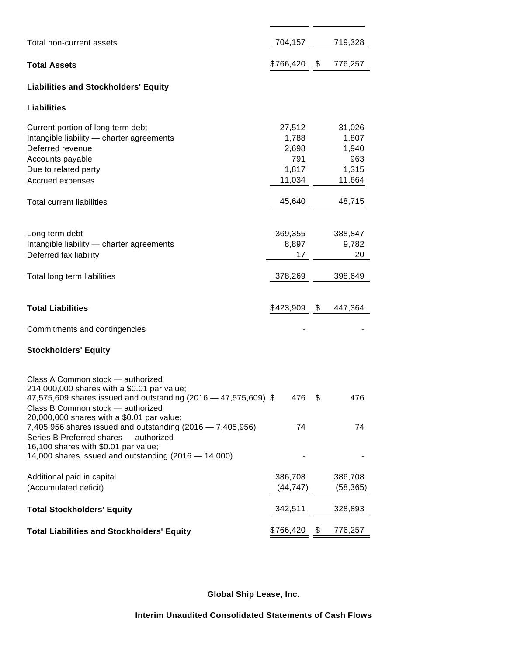| Total non-current assets                                                                                                                                                                                                                                                                                                                                                               | 704,157                                            |      | 719,328                                            |
|----------------------------------------------------------------------------------------------------------------------------------------------------------------------------------------------------------------------------------------------------------------------------------------------------------------------------------------------------------------------------------------|----------------------------------------------------|------|----------------------------------------------------|
| <b>Total Assets</b>                                                                                                                                                                                                                                                                                                                                                                    | \$766,420                                          | \$   | 776,257                                            |
| <b>Liabilities and Stockholders' Equity</b>                                                                                                                                                                                                                                                                                                                                            |                                                    |      |                                                    |
| Liabilities                                                                                                                                                                                                                                                                                                                                                                            |                                                    |      |                                                    |
| Current portion of long term debt<br>Intangible liability - charter agreements<br>Deferred revenue<br>Accounts payable<br>Due to related party<br>Accrued expenses                                                                                                                                                                                                                     | 27,512<br>1,788<br>2,698<br>791<br>1,817<br>11,034 |      | 31,026<br>1,807<br>1,940<br>963<br>1,315<br>11,664 |
| Total current liabilities                                                                                                                                                                                                                                                                                                                                                              | 45,640                                             |      | 48,715                                             |
| Long term debt<br>Intangible liability - charter agreements<br>Deferred tax liability<br>Total long term liabilities                                                                                                                                                                                                                                                                   | 369,355<br>8,897<br>17<br>378,269                  |      | 388,847<br>9,782<br>20<br>398,649                  |
| <b>Total Liabilities</b>                                                                                                                                                                                                                                                                                                                                                               | \$423,909                                          | - \$ | 447,364                                            |
| Commitments and contingencies                                                                                                                                                                                                                                                                                                                                                          |                                                    |      |                                                    |
| <b>Stockholders' Equity</b>                                                                                                                                                                                                                                                                                                                                                            |                                                    |      |                                                    |
| Class A Common stock - authorized<br>214,000,000 shares with a \$0.01 par value;<br>47,575,609 shares issued and outstanding (2016 – 47,575,609) \$<br>Class B Common stock — authorized<br>20,000,000 shares with a \$0.01 par value;<br>7,405,956 shares issued and outstanding (2016 - 7,405,956)<br>Series B Preferred shares - authorized<br>16,100 shares with \$0.01 par value; | 476<br>74                                          | \$   | 476<br>74                                          |
| 14,000 shares issued and outstanding (2016 - 14,000)                                                                                                                                                                                                                                                                                                                                   |                                                    |      |                                                    |
| Additional paid in capital<br>(Accumulated deficit)                                                                                                                                                                                                                                                                                                                                    | 386,708<br>(44, 747)                               |      | 386,708<br>(58, 365)                               |
| <b>Total Stockholders' Equity</b>                                                                                                                                                                                                                                                                                                                                                      | 342,511                                            |      | 328,893                                            |
| <b>Total Liabilities and Stockholders' Equity</b>                                                                                                                                                                                                                                                                                                                                      | \$766,420                                          | \$   | 776,257                                            |

 $\overline{a}$ 

**Global Ship Lease, Inc.**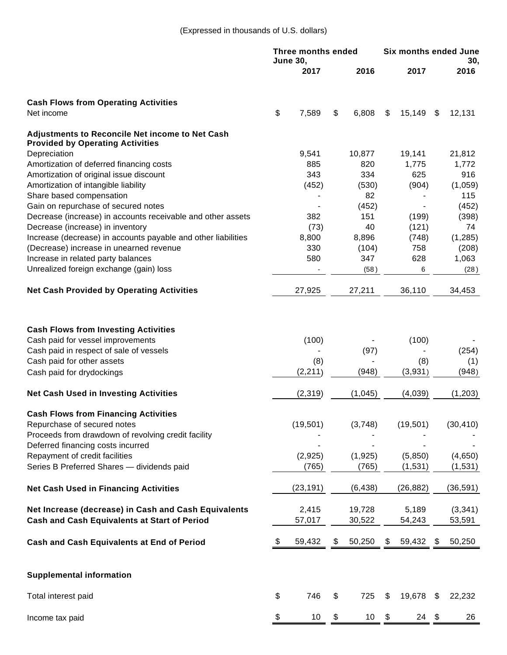|                                                                                                                                                                                                                                                        | <b>Three months ended</b><br><b>June 30,</b> |                               |    | <b>Six months ended June</b> |    |                                 |    |                                 |
|--------------------------------------------------------------------------------------------------------------------------------------------------------------------------------------------------------------------------------------------------------|----------------------------------------------|-------------------------------|----|------------------------------|----|---------------------------------|----|---------------------------------|
|                                                                                                                                                                                                                                                        |                                              | 2017                          |    | 2016                         |    | 2017                            |    | 30,<br>2016                     |
| <b>Cash Flows from Operating Activities</b>                                                                                                                                                                                                            |                                              |                               |    |                              |    |                                 |    |                                 |
| Net income                                                                                                                                                                                                                                             | \$                                           | 7,589                         | \$ | 6,808                        | \$ | 15,149                          | \$ | 12,131                          |
| <b>Adjustments to Reconcile Net income to Net Cash</b><br><b>Provided by Operating Activities</b>                                                                                                                                                      |                                              |                               |    |                              |    |                                 |    |                                 |
| Depreciation                                                                                                                                                                                                                                           |                                              | 9,541                         |    | 10,877                       |    | 19,141                          |    | 21,812                          |
| Amortization of deferred financing costs                                                                                                                                                                                                               |                                              | 885                           |    | 820                          |    | 1,775                           |    | 1,772                           |
| Amortization of original issue discount                                                                                                                                                                                                                |                                              | 343                           |    | 334                          |    | 625                             |    | 916                             |
| Amortization of intangible liability                                                                                                                                                                                                                   |                                              | (452)                         |    | (530)                        |    | (904)                           |    | (1,059)                         |
| Share based compensation                                                                                                                                                                                                                               |                                              |                               |    | 82                           |    |                                 |    | 115                             |
| Gain on repurchase of secured notes                                                                                                                                                                                                                    |                                              |                               |    | (452)                        |    |                                 |    | (452)                           |
| Decrease (increase) in accounts receivable and other assets                                                                                                                                                                                            |                                              | 382                           |    | 151                          |    | (199)                           |    | (398)                           |
| Decrease (increase) in inventory                                                                                                                                                                                                                       |                                              | (73)                          |    | 40                           |    | (121)                           |    | 74                              |
| Increase (decrease) in accounts payable and other liabilities                                                                                                                                                                                          |                                              | 8,800                         |    | 8,896                        |    | (748)                           |    | (1, 285)                        |
| (Decrease) increase in unearned revenue<br>Increase in related party balances                                                                                                                                                                          |                                              | 330<br>580                    |    | (104)<br>347                 |    | 758<br>628                      |    | (208)                           |
| Unrealized foreign exchange (gain) loss                                                                                                                                                                                                                |                                              |                               |    |                              |    |                                 |    | 1,063                           |
|                                                                                                                                                                                                                                                        |                                              |                               |    | (58)                         |    | 6                               |    | (28)                            |
| <b>Net Cash Provided by Operating Activities</b>                                                                                                                                                                                                       |                                              | 27,925                        |    | 27,211                       |    | 36,110                          |    | 34,453                          |
| <b>Cash Flows from Investing Activities</b><br>Cash paid for vessel improvements<br>Cash paid in respect of sale of vessels<br>Cash paid for other assets<br>Cash paid for drydockings                                                                 |                                              | (100)<br>(8)<br>(2, 211)      |    | (97)<br>(948)                |    | (100)<br>(8)<br>(3,931)         |    | (254)<br>(1)<br>(948)           |
| <b>Net Cash Used in Investing Activities</b>                                                                                                                                                                                                           |                                              | (2, 319)                      |    | (1,045)                      |    | (4,039)                         |    | (1, 203)                        |
| <b>Cash Flows from Financing Activities</b><br>Repurchase of secured notes<br>Proceeds from drawdown of revolving credit facility<br>Deferred financing costs incurred<br>Repayment of credit facilities<br>Series B Preferred Shares - dividends paid |                                              | (19, 501)<br>(2,925)<br>(765) |    | (3,748)<br>(1,925)<br>(765)  |    | (19, 501)<br>(5,850)<br>(1,531) |    | (30, 410)<br>(4,650)<br>(1,531) |
| <b>Net Cash Used in Financing Activities</b>                                                                                                                                                                                                           |                                              | (23, 191)                     |    | (6, 438)                     |    | (26, 882)                       |    | (36, 591)                       |
| Net Increase (decrease) in Cash and Cash Equivalents<br><b>Cash and Cash Equivalents at Start of Period</b>                                                                                                                                            |                                              | 2,415<br>57,017               |    | 19,728<br>30,522             |    | 5,189<br>54,243                 |    | (3, 341)<br>53,591              |
| <b>Cash and Cash Equivalents at End of Period</b>                                                                                                                                                                                                      | \$                                           | 59,432                        |    | 50,250                       | \$ | 59,432                          | \$ | 50,250                          |
| <b>Supplemental information</b>                                                                                                                                                                                                                        |                                              |                               |    |                              |    |                                 |    |                                 |
| Total interest paid                                                                                                                                                                                                                                    | \$                                           | 746                           | \$ | 725                          | \$ | 19,678                          | \$ | 22,232                          |
| Income tax paid                                                                                                                                                                                                                                        | \$                                           | 10                            | \$ | 10                           | \$ | $24$ \$                         |    | 26                              |